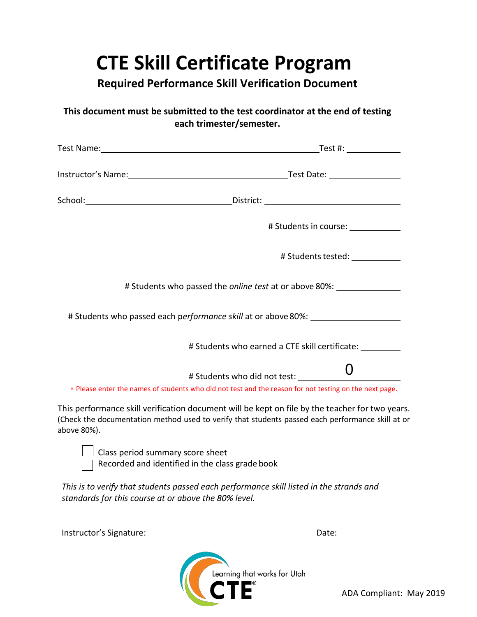## **CTE Skill Certificate Program**

**Required Performance Skill Verification Document** 

## **This document must be submitted to the test coordinator at the end of testing each trimester/semester.**

|                                                                                     | $Test$ #: $\qquad \qquad$                                                                                                                                                                                                     |
|-------------------------------------------------------------------------------------|-------------------------------------------------------------------------------------------------------------------------------------------------------------------------------------------------------------------------------|
|                                                                                     | Instructor's Name: 1988 Contract Contract Contract Contract Contract Contract Contract Contract Contract Contract Contract Contract Contract Contract Contract Contract Contract Contract Contract Contract Contract Contract |
|                                                                                     |                                                                                                                                                                                                                               |
|                                                                                     | # Students in course: ____________                                                                                                                                                                                            |
|                                                                                     | # Students tested: ____________                                                                                                                                                                                               |
|                                                                                     | # Students who passed the online test at or above 80%: _________________________                                                                                                                                              |
|                                                                                     | # Students who passed each performance skill at or above 80%: __________________                                                                                                                                              |
|                                                                                     | # Students who earned a CTE skill certificate:                                                                                                                                                                                |
|                                                                                     |                                                                                                                                                                                                                               |
|                                                                                     | * Please enter the names of students who did not test and the reason for not testing on the next page.                                                                                                                        |
| above 80%).                                                                         | This performance skill verification document will be kept on file by the teacher for two years.<br>(Check the documentation method used to verify that students passed each performance skill at or                           |
| Class period summary score sheet<br>Recorded and identified in the class grade book |                                                                                                                                                                                                                               |

*This is to verify that students passed each performance skill listed in the strands and standards for this course at or above the 80% level.* 

| Instructor's Signature: | Date:                        |
|-------------------------|------------------------------|
|                         | Learning that works for Utah |

I E